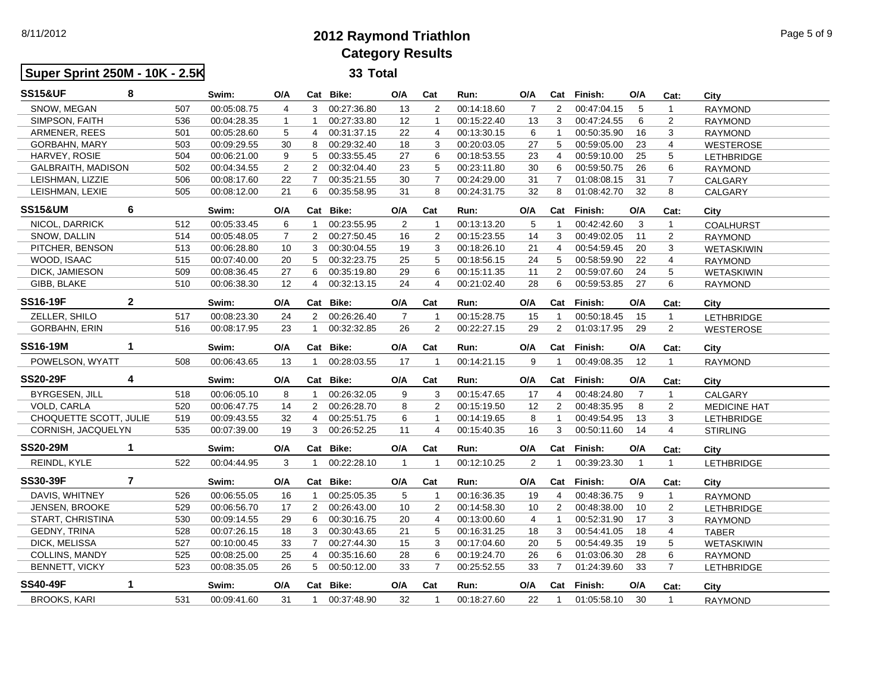8/11/2012

 **Super Sprint 250M - 10K - 2.5K**

## **2012 Raymond TriathlonCategory Results**

**33 Total**

| <b>SS15&amp;UF</b>        | 8              |     | Swim:       | O/A            |                | Cat Bike:   | O/A            | Cat            | Run:        | O/A            | Cat                     | Finish:     | O/A            | Cat:           | City                |
|---------------------------|----------------|-----|-------------|----------------|----------------|-------------|----------------|----------------|-------------|----------------|-------------------------|-------------|----------------|----------------|---------------------|
| SNOW. MEGAN               |                | 507 | 00:05:08.75 | 4              | 3              | 00:27:36.80 | 13             | 2              | 00:14:18.60 | $\overline{7}$ | $\overline{2}$          | 00:47:04.15 | 5              | $\mathbf{1}$   | <b>RAYMOND</b>      |
| SIMPSON, FAITH            |                | 536 | 00:04:28.35 | $\mathbf{1}$   | $\mathbf{1}$   | 00:27:33.80 | 12             | $\mathbf{1}$   | 00:15:22.40 | 13             | 3                       | 00:47:24.55 | 6              | $\overline{2}$ | <b>RAYMOND</b>      |
| ARMENER, REES             |                | 501 | 00:05:28.60 | 5              | $\overline{4}$ | 00:31:37.15 | 22             | $\overline{4}$ | 00:13:30.15 | 6              | $\mathbf{1}$            | 00:50:35.90 | 16             | 3              | <b>RAYMOND</b>      |
| <b>GORBAHN, MARY</b>      |                | 503 | 00:09:29.55 | 30             | 8              | 00:29:32.40 | 18             | 3              | 00:20:03.05 | 27             | 5                       | 00:59:05.00 | 23             | $\overline{4}$ | <b>WESTEROSE</b>    |
| HARVEY, ROSIE             |                | 504 | 00:06:21.00 | 9              | 5              | 00:33:55.45 | 27             | 6              | 00:18:53.55 | 23             | $\overline{4}$          | 00:59:10.00 | 25             | 5              | <b>LETHBRIDGE</b>   |
| GALBRAITH, MADISON        |                | 502 | 00:04:34.55 | $\overline{2}$ | $\overline{2}$ | 00:32:04.40 | 23             | 5              | 00:23:11.80 | 30             | 6                       | 00:59:50.75 | 26             | $\,6$          | <b>RAYMOND</b>      |
| LEISHMAN, LIZZIE          |                | 506 | 00:08:17.60 | 22             | $\overline{7}$ | 00:35:21.55 | 30             | $\overline{7}$ | 00:24:29.00 | 31             | $\overline{7}$          | 01:08:08.15 | 31             | $\overline{7}$ | <b>CALGARY</b>      |
| LEISHMAN, LEXIE           |                | 505 | 00:08:12.00 | 21             | 6              | 00:35:58.95 | 31             | 8              | 00:24:31.75 | 32             | 8                       | 01:08:42.70 | 32             | 8              | CALGARY             |
| <b>SS15&amp;UM</b>        | 6              |     | Swim:       | O/A            |                | Cat Bike:   | O/A            | Cat            | Run:        | O/A            | Cat                     | Finish:     | O/A            | Cat:           | City                |
| NICOL, DARRICK            |                | 512 | 00:05:33.45 | 6              | $\mathbf{1}$   | 00:23:55.95 | 2              | $\mathbf{1}$   | 00:13:13.20 | 5              | $\overline{\mathbf{1}}$ | 00:42:42.60 | 3              | $\mathbf{1}$   | <b>COALHURST</b>    |
| SNOW, DALLIN              |                | 514 | 00:05:48.05 | $\overline{7}$ | $\overline{2}$ | 00:27:50.45 | 16             | 2              | 00:15:23.55 | 14             | 3                       | 00:49:02.05 | 11             | $\overline{2}$ | <b>RAYMOND</b>      |
| PITCHER, BENSON           |                | 513 | 00:06:28.80 | 10             | 3              | 00:30:04.55 | 19             | 3              | 00:18:26.10 | 21             | 4                       | 00:54:59.45 | 20             | 3              | WETASKIWIN          |
| WOOD, ISAAC               |                | 515 | 00:07:40.00 | 20             | 5              | 00:32:23.75 | 25             | 5              | 00:18:56.15 | 24             | 5                       | 00:58:59.90 | 22             | 4              | <b>RAYMOND</b>      |
| DICK, JAMIESON            |                | 509 | 00:08:36.45 | 27             | 6              | 00:35:19.80 | 29             | 6              | 00:15:11.35 | 11             | $\overline{2}$          | 00:59:07.60 | 24             | 5              | <b>WETASKIWIN</b>   |
| GIBB, BLAKE               |                | 510 | 00:06:38.30 | 12             | 4              | 00:32:13.15 | 24             | $\overline{4}$ | 00:21:02.40 | 28             | 6                       | 00:59:53.85 | 27             | 6              | <b>RAYMOND</b>      |
| <b>SS16-19F</b>           | $\overline{2}$ |     | Swim:       | O/A            |                | Cat Bike:   | O/A            | Cat            | Run:        | O/A            | Cat                     | Finish:     | O/A            | Cat:           | City                |
| ZELLER, SHILO             |                | 517 | 00:08:23.30 | 24             | $\overline{2}$ | 00:26:26.40 | $\overline{7}$ | $\mathbf{1}$   | 00:15:28.75 | 15             | $\mathbf{1}$            | 00:50:18.45 | 15             | $\mathbf{1}$   | <b>LETHBRIDGE</b>   |
| <b>GORBAHN, ERIN</b>      |                | 516 | 00:08:17.95 | 23             | $\mathbf{1}$   | 00:32:32.85 | 26             | 2              | 00:22:27.15 | 29             | 2                       | 01:03:17.95 | 29             | 2              | <b>WESTEROSE</b>    |
| <b>SS16-19M</b>           | $\mathbf 1$    |     | Swim:       | O/A            |                | Cat Bike:   | O/A            | Cat            | Run:        | O/A            | Cat                     | Finish:     | O/A            | Cat:           | City                |
| POWELSON, WYATT           |                | 508 | 00:06:43.65 | 13             | $\mathbf{1}$   | 00:28:03.55 | 17             | $\mathbf{1}$   | 00:14:21.15 | 9              | $\mathbf{1}$            | 00:49:08.35 | 12             | $\mathbf{1}$   | <b>RAYMOND</b>      |
| <b>SS20-29F</b>           | 4              |     | Swim:       | O/A            |                | Cat Bike:   | O/A            | Cat            | Run:        | O/A            | Cat                     | Finish:     | O/A            | Cat:           | City                |
| <b>BYRGESEN, JILL</b>     |                | 518 | 00:06:05.10 | 8              | $\mathbf{1}$   | 00:26:32.05 | 9              | 3              | 00:15:47.65 | 17             | 4                       | 00:48:24.80 | $\overline{7}$ | $\mathbf{1}$   | <b>CALGARY</b>      |
| VOLD, CARLA               |                | 520 | 00:06:47.75 | 14             | $\overline{2}$ | 00:26:28.70 | 8              | 2              | 00:15:19.50 | 12             | $\overline{2}$          | 00:48:35.95 | 8              | $\overline{2}$ | <b>MEDICINE HAT</b> |
| CHOQUETTE SCOTT, JULIE    |                | 519 | 00:09:43.55 | 32             | $\overline{4}$ | 00:25:51.75 | 6              | $\mathbf{1}$   | 00:14:19.65 | 8              | $\mathbf{1}$            | 00:49:54.95 | 13             | 3              | <b>LETHBRIDGE</b>   |
| CORNISH, JACQUELYN<br>535 |                |     | 00:07:39.00 | 19             | 3              | 00:26:52.25 | 11             | $\overline{4}$ | 00:15:40.35 | 16             | 3                       | 00:50:11.60 | 14             | $\overline{4}$ | <b>STIRLING</b>     |
| <b>SS20-29M</b>           | 1              |     | Swim:       | O/A            |                | Cat Bike:   | O/A            | Cat            | Run:        | O/A            | Cat                     | Finish:     | O/A            | Cat:           | City                |
| REINDL, KYLE              |                | 522 | 00:04:44.95 | 3              | $\mathbf{1}$   | 00:22:28.10 | $\mathbf{1}$   | $\mathbf{1}$   | 00:12:10.25 | 2              | $\overline{1}$          | 00:39:23.30 | $\mathbf{1}$   | $\mathbf{1}$   | <b>LETHBRIDGE</b>   |
| <b>SS30-39F</b>           | $\overline{7}$ |     | Swim:       | O/A            |                | Cat Bike:   | O/A            | Cat            | Run:        | O/A            | Cat                     | Finish:     | O/A            | Cat:           | City                |
| DAVIS, WHITNEY            |                | 526 | 00:06:55.05 | 16             | $\mathbf{1}$   | 00:25:05.35 | 5              | $\mathbf{1}$   | 00:16:36.35 | 19             | $\overline{4}$          | 00:48:36.75 | 9              | $\mathbf{1}$   | <b>RAYMOND</b>      |
| <b>JENSEN, BROOKE</b>     |                | 529 | 00:06:56.70 | 17             | $\overline{2}$ | 00:26:43.00 | 10             | $\overline{2}$ | 00:14:58.30 | 10             | 2                       | 00:48:38.00 | 10             | $\overline{2}$ | <b>LETHBRIDGE</b>   |
| START, CHRISTINA          |                | 530 | 00:09:14.55 | 29             | 6              | 00:30:16.75 | 20             | 4              | 00:13:00.60 | 4              | $\mathbf{1}$            | 00:52:31.90 | 17             | 3              | <b>RAYMOND</b>      |
| <b>GEDNY, TRINA</b>       |                | 528 | 00:07:26.15 | 18             | 3              | 00:30:43.65 | 21             | 5              | 00:16:31.25 | 18             | 3                       | 00:54:41.05 | 18             | $\overline{4}$ | <b>TABER</b>        |
| DICK, MELISSA             |                | 527 | 00:10:00.45 | 33             | $\overline{7}$ | 00:27:44.30 | 15             | 3              | 00:17:04.60 | 20             | 5                       | 00:54:49.35 | 19             | 5              | <b>WETASKIWIN</b>   |
| COLLINS, MANDY            |                | 525 | 00:08:25.00 | 25             | 4              | 00:35:16.60 | 28             | 6              | 00:19:24.70 | 26             | 6                       | 01:03:06.30 | 28             | 6              | <b>RAYMOND</b>      |
| <b>BENNETT, VICKY</b>     |                | 523 | 00:08:35.05 | 26             | 5              | 00:50:12.00 | 33             | $\overline{7}$ | 00:25:52.55 | 33             | $\overline{7}$          | 01:24:39.60 | 33             | $\overline{7}$ | <b>LETHBRIDGE</b>   |
| <b>SS40-49F</b>           | $\mathbf 1$    |     | Swim:       | O/A            |                | Cat Bike:   | O/A            | Cat            | Run:        | O/A            | Cat                     | Finish:     | O/A            | Cat:           | City                |
| <b>BROOKS, KARI</b>       |                | 531 | 00:09:41.60 | 31             | $\mathbf{1}$   | 00:37:48.90 | 32             | $\mathbf{1}$   | 00:18:27.60 | 22             | $\mathbf{1}$            | 01:05:58.10 | 30             | $\mathbf{1}$   | <b>RAYMOND</b>      |
|                           |                |     |             |                |                |             |                |                |             |                |                         |             |                |                |                     |